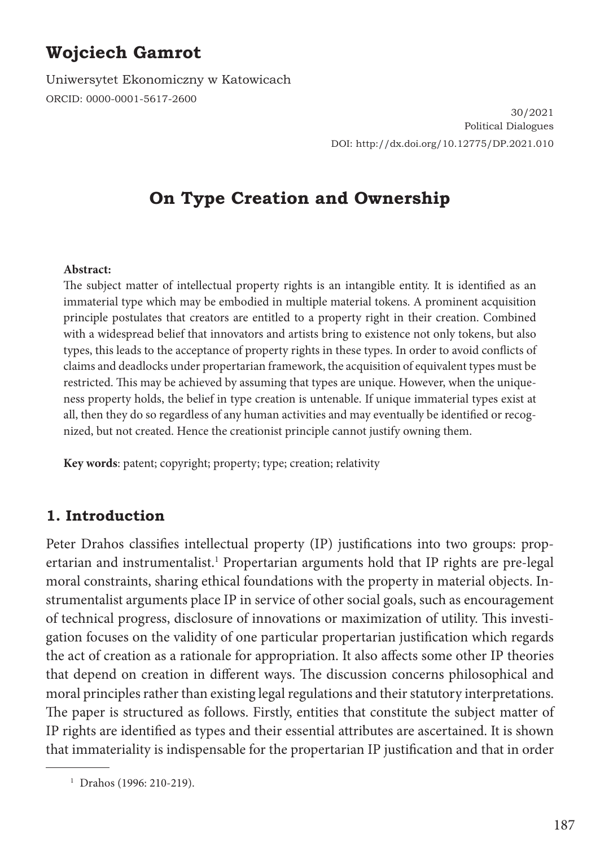# **Wojciech Gamrot**

Uniwersytet Ekonomiczny w Katowicach ORCID: 0000-0001-5617-2600

> 30/2021 Political Dialogues DOI: http://dx.doi.org/10.12775/DP.2021.010

# **On Type Creation and Ownership**

#### **Abstract:**

The subject matter of intellectual property rights is an intangible entity. It is identified as an immaterial type which may be embodied in multiple material tokens. A prominent acquisition principle postulates that creators are entitled to a property right in their creation. Combined with a widespread belief that innovators and artists bring to existence not only tokens, but also types, this leads to the acceptance of property rights in these types. In order to avoid conflicts of claims and deadlocks under propertarian framework, the acquisition of equivalent types must be restricted. This may be achieved by assuming that types are unique. However, when the uniqueness property holds, the belief in type creation is untenable. If unique immaterial types exist at all, then they do so regardless of any human activities and may eventually be identified or recognized, but not created. Hence the creationist principle cannot justify owning them.

**Key words**: patent; copyright; property; type; creation; relativity

### **1. Introduction**

Peter Drahos classifies intellectual property (IP) justifications into two groups: propertarian and instrumentalist.<sup>1</sup> Propertarian arguments hold that IP rights are pre-legal moral constraints, sharing ethical foundations with the property in material objects. Instrumentalist arguments place IP in service of other social goals, such as encouragement of technical progress, disclosure of innovations or maximization of utility. This investigation focuses on the validity of one particular propertarian justification which regards the act of creation as a rationale for appropriation. It also affects some other IP theories that depend on creation in different ways. The discussion concerns philosophical and moral principles rather than existing legal regulations and their statutory interpretations. The paper is structured as follows. Firstly, entities that constitute the subject matter of IP rights are identified as types and their essential attributes are ascertained. It is shown that immateriality is indispensable for the propertarian IP justification and that in order

<sup>1</sup> Drahos (1996: 210-219).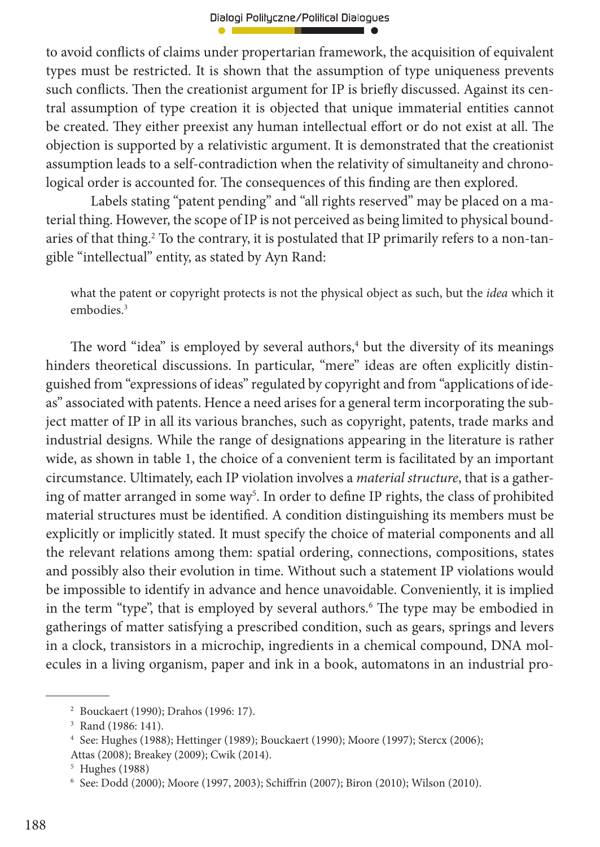to avoid conflicts of claims under propertarian framework, the acquisition of equivalent types must be restricted. It is shown that the assumption of type uniqueness prevents such conflicts. Then the creationist argument for IP is briefly discussed. Against its central assumption of type creation it is objected that unique immaterial entities cannot be created. They either preexist any human intellectual effort or do not exist at all. The objection is supported by a relativistic argument. It is demonstrated that the creationist assumption leads to a self-contradiction when the relativity of simultaneity and chronological order is accounted for. The consequences of this finding are then explored.

 Labels stating "patent pending" and "all rights reserved" may be placed on a material thing. However, the scope of IP is not perceived as being limited to physical boundaries of that thing.<sup>2</sup> To the contrary, it is postulated that IP primarily refers to a non-tangible "intellectual" entity, as stated by Ayn Rand:

what the patent or copyright protects is not the physical object as such, but the *idea* which it embodies.<sup>3</sup>

The word "idea" is employed by several authors, $4$  but the diversity of its meanings hinders theoretical discussions. In particular, "mere" ideas are often explicitly distinguished from "expressions of ideas" regulated by copyright and from "applications of ideas" associated with patents. Hence a need arises for a general term incorporating the subject matter of IP in all its various branches, such as copyright, patents, trade marks and industrial designs. While the range of designations appearing in the literature is rather wide, as shown in table 1, the choice of a convenient term is facilitated by an important circumstance. Ultimately, each IP violation involves a *material structure*, that is a gathering of matter arranged in some way<sup>5</sup>. In order to define IP rights, the class of prohibited material structures must be identified. A condition distinguishing its members must be explicitly or implicitly stated. It must specify the choice of material components and all the relevant relations among them: spatial ordering, connections, compositions, states and possibly also their evolution in time. Without such a statement IP violations would be impossible to identify in advance and hence unavoidable. Conveniently, it is implied in the term "type", that is employed by several authors.<sup>6</sup> The type may be embodied in gatherings of matter satisfying a prescribed condition, such as gears, springs and levers in a clock, transistors in a microchip, ingredients in a chemical compound, DNA molecules in a living organism, paper and ink in a book, automatons in an industrial pro-

<sup>2</sup> Bouckaert (1990); Drahos (1996: 17).

<sup>3</sup> Rand (1986: 141).

<sup>4</sup> See: Hughes (1988); Hettinger (1989); Bouckaert (1990); Moore (1997); Stercx (2006); Attas (2008); Breakey (2009); Cwik (2014).

<sup>5</sup> Hughes (1988)

<sup>&</sup>lt;sup>6</sup> See: Dodd (2000); Moore (1997, 2003); Schiffrin (2007); Biron (2010); Wilson (2010).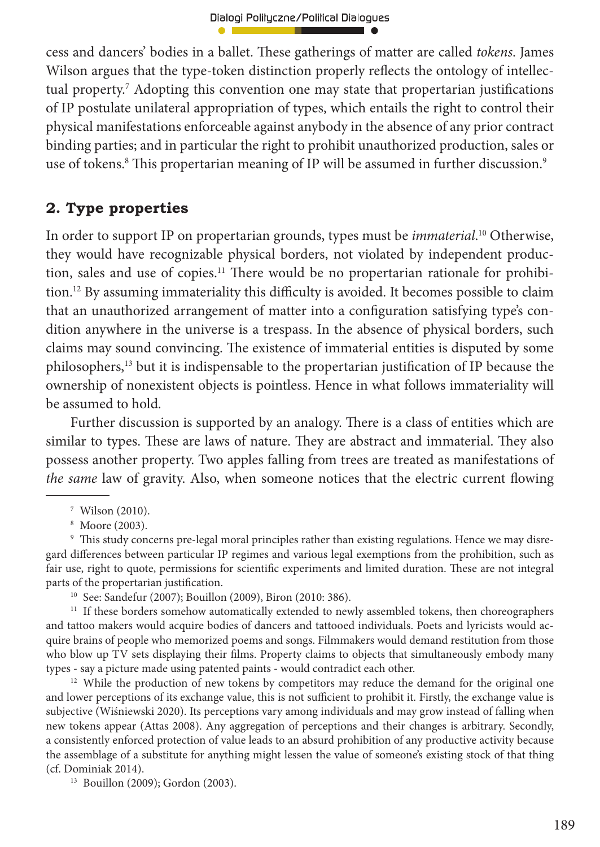cess and dancers' bodies in a ballet. Th ese gatherings of matter are called *tokens*. James Wilson argues that the type-token distinction properly reflects the ontology of intellectual property.<sup>7</sup> Adopting this convention one may state that propertarian justifications of IP postulate unilateral appropriation of types, which entails the right to control their physical manifestations enforceable against anybody in the absence of any prior contract binding parties; and in particular the right to prohibit unauthorized production, sales or use of tokens.<sup>8</sup> This propertarian meaning of IP will be assumed in further discussion.<sup>9</sup>

# **2. Type properties**

In order to support IP on propertarian grounds, types must be *immaterial*. 10 Otherwise, they would have recognizable physical borders, not violated by independent production, sales and use of copies.<sup>11</sup> There would be no propertarian rationale for prohibition.<sup>12</sup> By assuming immateriality this difficulty is avoided. It becomes possible to claim that an unauthorized arrangement of matter into a configuration satisfying type's condition anywhere in the universe is a trespass. In the absence of physical borders, such claims may sound convincing. The existence of immaterial entities is disputed by some philosophers,<sup>13</sup> but it is indispensable to the propertarian justification of IP because the ownership of nonexistent objects is pointless. Hence in what follows immateriality will be assumed to hold.

Further discussion is supported by an analogy. There is a class of entities which are similar to types. These are laws of nature. They are abstract and immaterial. They also possess another property. Two apples falling from trees are treated as manifestations of *the same* law of gravity. Also, when someone notices that the electric current flowing

 $^\circ$  This study concerns pre-legal moral principles rather than existing regulations. Hence we may disregard differences between particular IP regimes and various legal exemptions from the prohibition, such as fair use, right to quote, permissions for scientific experiments and limited duration. These are not integral parts of the propertarian justification.

10 See: Sandefur (2007); Bouillon (2009), Biron (2010: 386).

<sup>11</sup> If these borders somehow automatically extended to newly assembled tokens, then choreographers and tattoo makers would acquire bodies of dancers and tattooed individuals. Poets and lyricists would acquire brains of people who memorized poems and songs. Filmmakers would demand restitution from those who blow up TV sets displaying their films. Property claims to objects that simultaneously embody many types - say a picture made using patented paints - would contradict each other.

 $12$  While the production of new tokens by competitors may reduce the demand for the original one and lower perceptions of its exchange value, this is not sufficient to prohibit it. Firstly, the exchange value is subjective (Wiśniewski 2020). Its perceptions vary among individuals and may grow instead of falling when new tokens appear (Attas 2008). Any aggregation of perceptions and their changes is arbitrary. Secondly, a consistently enforced protection of value leads to an absurd prohibition of any productive activity because the assemblage of a substitute for anything might lessen the value of someone's existing stock of that thing (cf. Dominiak 2014).

13 Bouillon (2009); Gordon (2003).

<sup>7</sup> Wilson (2010).

<sup>8</sup> Moore (2003).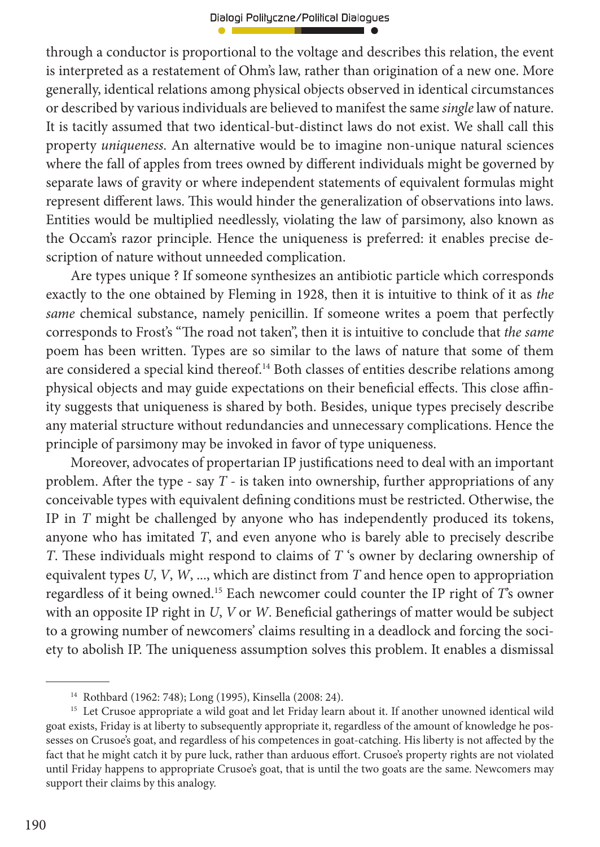through a conductor is proportional to the voltage and describes this relation, the event is interpreted as a restatement of Ohm's law, rather than origination of a new one. More generally, identical relations among physical objects observed in identical circumstances or described by various individuals are believed to manifest the same *single* law of nature. It is tacitly assumed that two identical-but-distinct laws do not exist. We shall call this property *uniqueness*. An alternative would be to imagine non-unique natural sciences where the fall of apples from trees owned by different individuals might be governed by separate laws of gravity or where independent statements of equivalent formulas might represent different laws. This would hinder the generalization of observations into laws. Entities would be multiplied needlessly, violating the law of parsimony, also known as the Occam's razor principle. Hence the uniqueness is preferred: it enables precise description of nature without unneeded complication.

Are types unique ? If someone synthesizes an antibiotic particle which corresponds exactly to the one obtained by Fleming in 1928, then it is intuitive to think of it as *the same* chemical substance, namely penicillin. If someone writes a poem that perfectly corresponds to Frost's "The road not taken", then it is intuitive to conclude that *the same* poem has been written. Types are so similar to the laws of nature that some of them are considered a special kind thereof.<sup>14</sup> Both classes of entities describe relations among physical objects and may guide expectations on their beneficial effects. This close affinity suggests that uniqueness is shared by both. Besides, unique types precisely describe any material structure without redundancies and unnecessary complications. Hence the principle of parsimony may be invoked in favor of type uniqueness.

Moreover, advocates of propertarian IP justifications need to deal with an important problem. After the type - say  $T$  - is taken into ownership, further appropriations of any conceivable types with equivalent defining conditions must be restricted. Otherwise, the IP in *T* might be challenged by anyone who has independently produced its tokens, anyone who has imitated *T*, and even anyone who is barely able to precisely describe *T*. These individuals might respond to claims of *T* 's owner by declaring ownership of equivalent types *U*, *V*, *W*, ..., which are distinct from *T* and hence open to appropriation regardless of it being owned.<sup>15</sup> Each newcomer could counter the IP right of *T*'s owner with an opposite IP right in *U*, *V* or *W*. Beneficial gatherings of matter would be subject to a growing number of newcomers' claims resulting in a deadlock and forcing the society to abolish IP. The uniqueness assumption solves this problem. It enables a dismissal

<sup>14</sup> Rothbard (1962: 748); Long (1995), Kinsella (2008: 24).

<sup>&</sup>lt;sup>15</sup> Let Crusoe appropriate a wild goat and let Friday learn about it. If another unowned identical wild goat exists, Friday is at liberty to subsequently appropriate it, regardless of the amount of knowledge he possesses on Crusoe's goat, and regardless of his competences in goat-catching. His liberty is not affected by the fact that he might catch it by pure luck, rather than arduous effort. Crusoe's property rights are not violated until Friday happens to appropriate Crusoe's goat, that is until the two goats are the same. Newcomers may support their claims by this analogy.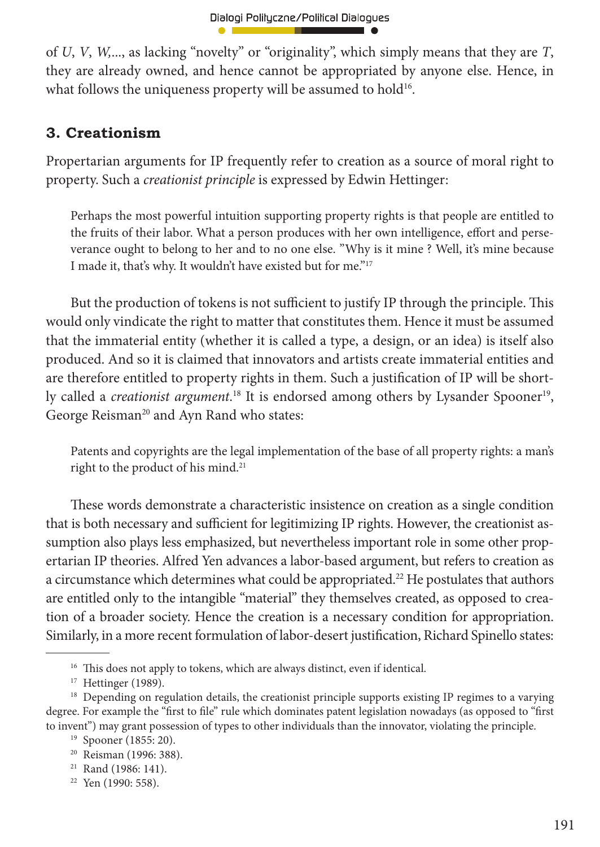of *U*, *V*, *W,*..., as lacking "novelty" or "originality", which simply means that they are *T*, they are already owned, and hence cannot be appropriated by anyone else. Hence, in what follows the uniqueness property will be assumed to hold<sup>16</sup>.

## **3. Creationism**

Propertarian arguments for IP frequently refer to creation as a source of moral right to property. Such a *creationist principle* is expressed by Edwin Hettinger:

Perhaps the most powerful intuition supporting property rights is that people are entitled to the fruits of their labor. What a person produces with her own intelligence, effort and perseverance ought to belong to her and to no one else. "Why is it mine ? Well, it's mine because I made it, that's why. It wouldn't have existed but for me."<sup>17</sup>

But the production of tokens is not sufficient to justify IP through the principle. This would only vindicate the right to matter that constitutes them. Hence it must be assumed that the immaterial entity (whether it is called a type, a design, or an idea) is itself also produced. And so it is claimed that innovators and artists create immaterial entities and are therefore entitled to property rights in them. Such a justification of IP will be shortly called a *creationist argument*.<sup>18</sup> It is endorsed among others by Lysander Spooner<sup>19</sup>, George Reisman<sup>20</sup> and Ayn Rand who states:

Patents and copyrights are the legal implementation of the base of all property rights: a man's right to the product of his mind.<sup>21</sup>

These words demonstrate a characteristic insistence on creation as a single condition that is both necessary and sufficient for legitimizing IP rights. However, the creationist assumption also plays less emphasized, but nevertheless important role in some other propertarian IP theories. Alfred Yen advances a labor-based argument, but refers to creation as a circumstance which determines what could be appropriated.<sup>22</sup> He postulates that authors are entitled only to the intangible "material" they themselves created, as opposed to creation of a broader society. Hence the creation is a necessary condition for appropriation. Similarly, in a more recent formulation of labor-desert justification, Richard Spinello states:

<sup>&</sup>lt;sup>16</sup> This does not apply to tokens, which are always distinct, even if identical.

<sup>&</sup>lt;sup>17</sup> Hettinger (1989).

<sup>&</sup>lt;sup>18</sup> Depending on regulation details, the creationist principle supports existing IP regimes to a varying degree. For example the "first to file" rule which dominates patent legislation nowadays (as opposed to "first to invent") may grant possession of types to other individuals than the innovator, violating the principle.

<sup>19</sup> Spooner (1855: 20).

<sup>20</sup> Reisman (1996: 388).

<sup>&</sup>lt;sup>21</sup> Rand (1986: 141).

<sup>22</sup> Yen (1990: 558).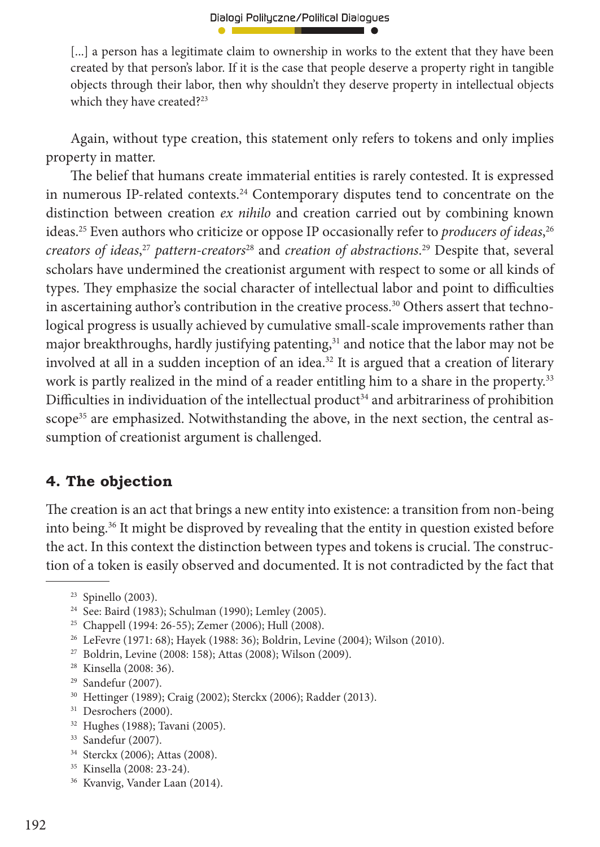[...] a person has a legitimate claim to ownership in works to the extent that they have been created by that person's labor. If it is the case that people deserve a property right in tangible objects through their labor, then why shouldn't they deserve property in intellectual objects which they have created?<sup>23</sup>

Again, without type creation, this statement only refers to tokens and only implies property in matter.

The belief that humans create immaterial entities is rarely contested. It is expressed in numerous IP-related contexts.<sup>24</sup> Contemporary disputes tend to concentrate on the distinction between creation *ex nihilo* and creation carried out by combining known ideas.25 Even authors who criticize or oppose IP occasionally refer to *producers of ideas*, 26 *creators of ideas*, <sup>27</sup> *pattern-creators*28 and *creation of abstractions*. 29 Despite that, several scholars have undermined the creationist argument with respect to some or all kinds of types. They emphasize the social character of intellectual labor and point to difficulties in ascertaining author's contribution in the creative process.<sup>30</sup> Others assert that technological progress is usually achieved by cumulative small-scale improvements rather than major breakthroughs, hardly justifying patenting,<sup>31</sup> and notice that the labor may not be involved at all in a sudden inception of an idea.<sup>32</sup> It is argued that a creation of literary work is partly realized in the mind of a reader entitling him to a share in the property.<sup>33</sup> Difficulties in individuation of the intellectual product<sup>34</sup> and arbitrariness of prohibition scope<sup>35</sup> are emphasized. Notwithstanding the above, in the next section, the central assumption of creationist argument is challenged.

### **4. The objection**

The creation is an act that brings a new entity into existence: a transition from non-being into being.36 It might be disproved by revealing that the entity in question existed before the act. In this context the distinction between types and tokens is crucial. The construction of a token is easily observed and documented. It is not contradicted by the fact that

- 27 Boldrin, Levine (2008: 158); Attas (2008); Wilson (2009).
- 28 Kinsella (2008: 36).
- 29 Sandefur (2007).
- 30 Hettinger (1989); Craig (2002); Sterckx (2006); Radder (2013).
- <sup>31</sup> Desrochers (2000).
- 32 Hughes (1988); Tavani (2005).
- 33 Sandefur (2007).
- 34 Sterckx (2006); Attas (2008).
- 35 Kinsella (2008: 23-24).
- 36 Kvanvig, Vander Laan (2014).

 $23$  Spinello (2003).

<sup>24</sup> See: Baird (1983); Schulman (1990); Lemley (2005).

<sup>25</sup> Chappell (1994: 26-55); Zemer (2006); Hull (2008).

<sup>26</sup> LeFevre (1971: 68); Hayek (1988: 36); Boldrin, Levine (2004); Wilson (2010).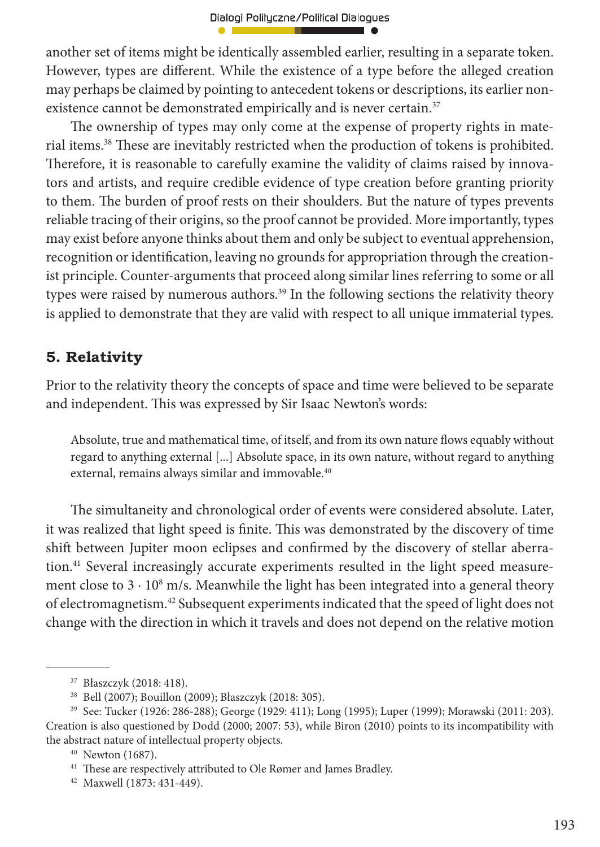another set of items might be identically assembled earlier, resulting in a separate token. However, types are different. While the existence of a type before the alleged creation may perhaps be claimed by pointing to antecedent tokens or descriptions, its earlier nonexistence cannot be demonstrated empirically and is never certain.<sup>37</sup>

The ownership of types may only come at the expense of property rights in material items.<sup>38</sup> These are inevitably restricted when the production of tokens is prohibited. Therefore, it is reasonable to carefully examine the validity of claims raised by innovators and artists, and require credible evidence of type creation before granting priority to them. The burden of proof rests on their shoulders. But the nature of types prevents reliable tracing of their origins, so the proof cannot be provided. More importantly, types may exist before anyone thinks about them and only be subject to eventual apprehension, recognition or identification, leaving no grounds for appropriation through the creationist principle. Counter-arguments that proceed along similar lines referring to some or all types were raised by numerous authors.<sup>39</sup> In the following sections the relativity theory is applied to demonstrate that they are valid with respect to all unique immaterial types.

## **5. Relativity**

Prior to the relativity theory the concepts of space and time were believed to be separate and independent. This was expressed by Sir Isaac Newton's words:

Absolute, true and mathematical time, of itself, and from its own nature flows equably without regard to anything external [...] Absolute space, in its own nature, without regard to anything external, remains always similar and immovable.<sup>40</sup>

The simultaneity and chronological order of events were considered absolute. Later, it was realized that light speed is finite. This was demonstrated by the discovery of time shift between Jupiter moon eclipses and confirmed by the discovery of stellar aberration.<sup>41</sup> Several increasingly accurate experiments resulted in the light speed measurement close to  $3 \cdot 10^8$  m/s. Meanwhile the light has been integrated into a general theory of electromagnetism.42 Subsequent experiments indicated that the speed of light does not change with the direction in which it travels and does not depend on the relative motion

<sup>37</sup> Błaszczyk (2018: 418).

<sup>38</sup> Bell (2007); Bouillon (2009); Błaszczyk (2018: 305).

<sup>39</sup> See: Tucker (1926: 286-288); George (1929: 411); Long (1995); Luper (1999); Morawski (2011: 203). Creation is also questioned by Dodd (2000; 2007: 53), while Biron (2010) points to its incompatibility with the abstract nature of intellectual property objects.

<sup>40</sup> Newton (1687).

<sup>&</sup>lt;sup>41</sup> These are respectively attributed to Ole Rømer and James Bradley.

<sup>42</sup> Maxwell (1873: 431-449).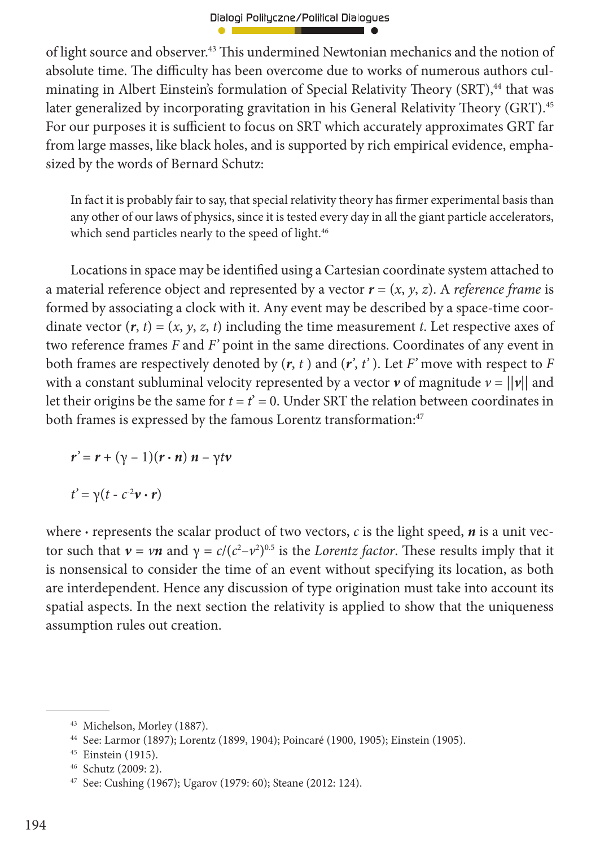of light source and observer.<sup>43</sup> This undermined Newtonian mechanics and the notion of absolute time. The difficulty has been overcome due to works of numerous authors culminating in Albert Einstein's formulation of Special Relativity Theory (SRT),<sup>44</sup> that was later generalized by incorporating gravitation in his General Relativity Theory (GRT).<sup>45</sup> For our purposes it is sufficient to focus on SRT which accurately approximates GRT far from large masses, like black holes, and is supported by rich empirical evidence, emphasized by the words of Bernard Schutz:

In fact it is probably fair to say, that special relativity theory has firmer experimental basis than any other of our laws of physics, since it is tested every day in all the giant particle accelerators, which send particles nearly to the speed of light.<sup>46</sup>

Locations in space may be identified using a Cartesian coordinate system attached to a material reference object and represented by a vector  $\mathbf{r} = (x, y, z)$ . A *reference frame* is formed by associating a clock with it. Any event may be described by a space-time coordinate vector  $(r, t) = (x, y, z, t)$  including the time measurement *t*. Let respective axes of two reference frames *F* and *F'* point in the same directions. Coordinates of any event in both frames are respectively denoted by  $(r, t)$  and  $(r', t')$ . Let  $F'$  move with respect to  $F$ with a constant subluminal velocity represented by a vector  $\nu$  of magnitude  $\nu = ||\nu||$  and let their origins be the same for  $t = t' = 0$ . Under SRT the relation between coordinates in both frames is expressed by the famous Lorentz transformation:<sup>47</sup>

 $r' = r + (\gamma - 1)(r \cdot n) n - \gamma t v$ 

 $t' = \gamma(t - c^{-2}\mathbf{v} \cdot \mathbf{r})$ 

where **·** represents the scalar product of two vectors, *c* is the light speed, *n* is a unit vector such that  $ν = νn$  and  $γ = c/(c² - ν²)^{0.5}$  is the *Lorentz factor*. These results imply that it is nonsensical to consider the time of an event without specifying its location, as both are interdependent. Hence any discussion of type origination must take into account its spatial aspects. In the next section the relativity is applied to show that the uniqueness assumption rules out creation.

<sup>43</sup> Michelson, Morley (1887).

<sup>44</sup> See: Larmor (1897); Lorentz (1899, 1904); Poincaré (1900, 1905); Einstein (1905).

<sup>45</sup> Einstein (1915).

<sup>46</sup> Schutz (2009: 2).

<sup>47</sup> See: Cushing (1967); Ugarov (1979: 60); Steane (2012: 124).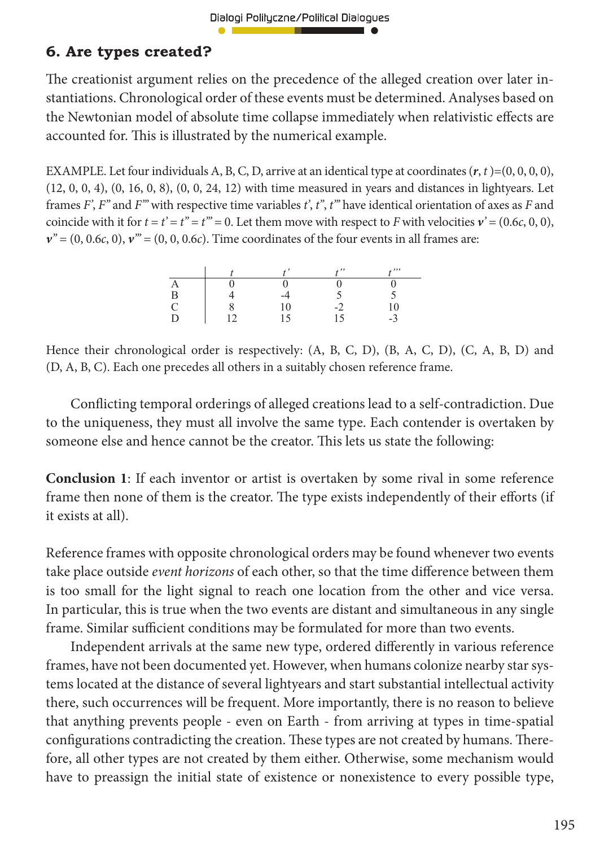### **6. Are types created?**

The creationist argument relies on the precedence of the alleged creation over later instantiations. Chronological order of these events must be determined. Analyses based on the Newtonian model of absolute time collapse immediately when relativistic effects are accounted for. This is illustrated by the numerical example.

EXAMPLE. Let four individuals A, B, C, D, arrive at an identical type at coordinates  $(r, t) = (0, 0, 0, 0)$ , (12, 0, 0, 4), (0, 16, 0, 8), (0, 0, 24, 12) with time measured in years and distances in lightyears. Let frames *F'*, *F''* and *F'''* with respective time variables *t'*, *t''*, *t'''* have identical orientation of axes as *F* and coincide with it for  $t = t' = t'' = t''' = 0$ . Let them move with respect to *F* with velocities  $v' = (0.6c, 0, 0)$ ,  $v'' = (0, 0.6c, 0)$ ,  $v''' = (0, 0, 0.6c)$ . Time coordinates of the four events in all frames are:

|   |      | $, \, , \,$ | . , . , |
|---|------|-------------|---------|
|   |      |             |         |
| P | $-4$ |             |         |
|   | U    |             |         |
|   |      |             | -       |

Hence their chronological order is respectively: (A, B, C, D), (B, A, C, D), (C, A, B, D) and (D, A, B, C). Each one precedes all others in a suitably chosen reference frame.

Conflicting temporal orderings of alleged creations lead to a self-contradiction. Due to the uniqueness, they must all involve the same type. Each contender is overtaken by someone else and hence cannot be the creator. This lets us state the following:

**Conclusion 1**: If each inventor or artist is overtaken by some rival in some reference frame then none of them is the creator. The type exists independently of their efforts (if it exists at all).

Reference frames with opposite chronological orders may be found whenever two events take place outside *event horizons* of each other, so that the time difference between them is too small for the light signal to reach one location from the other and vice versa. In particular, this is true when the two events are distant and simultaneous in any single frame. Similar sufficient conditions may be formulated for more than two events.

Independent arrivals at the same new type, ordered differently in various reference frames, have not been documented yet. However, when humans colonize nearby star systems located at the distance of several lightyears and start substantial intellectual activity there, such occurrences will be frequent. More importantly, there is no reason to believe that anything prevents people - even on Earth - from arriving at types in time-spatial configurations contradicting the creation. These types are not created by humans. Therefore, all other types are not created by them either. Otherwise, some mechanism would have to preassign the initial state of existence or nonexistence to every possible type,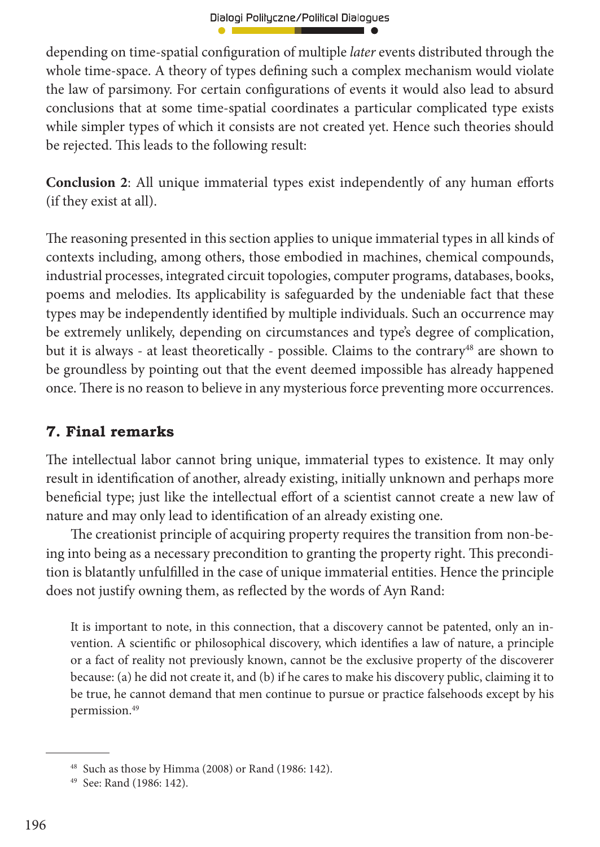depending on time-spatial configuration of multiple *later* events distributed through the whole time-space. A theory of types defining such a complex mechanism would violate the law of parsimony. For certain configurations of events it would also lead to absurd conclusions that at some time-spatial coordinates a particular complicated type exists while simpler types of which it consists are not created yet. Hence such theories should be rejected. This leads to the following result:

**Conclusion 2:** All unique immaterial types exist independently of any human efforts (if they exist at all).

The reasoning presented in this section applies to unique immaterial types in all kinds of contexts including, among others, those embodied in machines, chemical compounds, industrial processes, integrated circuit topologies, computer programs, databases, books, poems and melodies. Its applicability is safeguarded by the undeniable fact that these types may be independently identified by multiple individuals. Such an occurrence may be extremely unlikely, depending on circumstances and type's degree of complication, but it is always - at least theoretically - possible. Claims to the contrary<sup>48</sup> are shown to be groundless by pointing out that the event deemed impossible has already happened once. There is no reason to believe in any mysterious force preventing more occurrences.

# **7. Final remarks**

The intellectual labor cannot bring unique, immaterial types to existence. It may only result in identification of another, already existing, initially unknown and perhaps more beneficial type; just like the intellectual effort of a scientist cannot create a new law of nature and may only lead to identification of an already existing one.

The creationist principle of acquiring property requires the transition from non-being into being as a necessary precondition to granting the property right. This precondition is blatantly unfulfilled in the case of unique immaterial entities. Hence the principle does not justify owning them, as reflected by the words of Ayn Rand:

It is important to note, in this connection, that a discovery cannot be patented, only an invention. A scientific or philosophical discovery, which identifies a law of nature, a principle or a fact of reality not previously known, cannot be the exclusive property of the discoverer because: (a) he did not create it, and (b) if he cares to make his discovery public, claiming it to be true, he cannot demand that men continue to pursue or practice falsehoods except by his permission.49

<sup>48</sup> Such as those by Himma (2008) or Rand (1986: 142).

<sup>49</sup> See: Rand (1986: 142).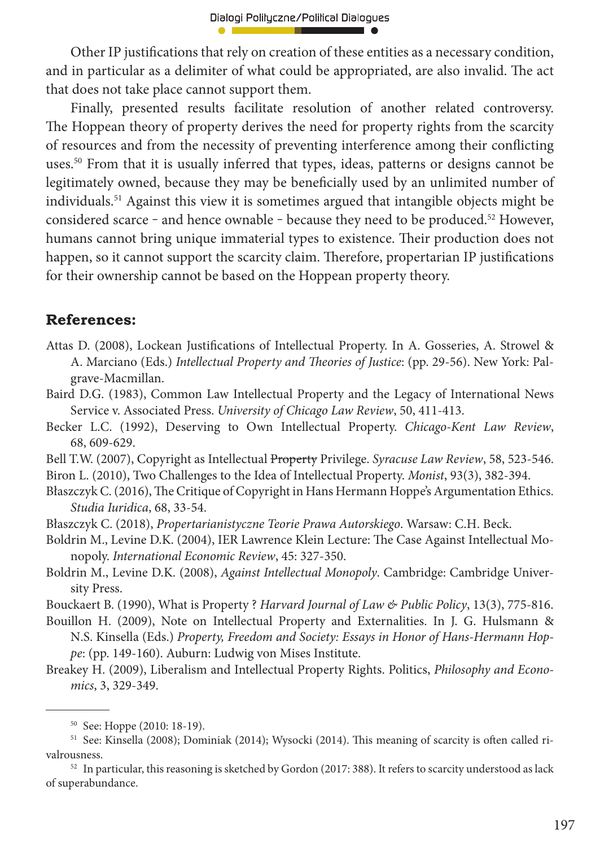Other IP justifications that rely on creation of these entities as a necessary condition, and in particular as a delimiter of what could be appropriated, are also invalid. The act that does not take place cannot support them.

Finally, presented results facilitate resolution of another related controversy. The Hoppean theory of property derives the need for property rights from the scarcity of resources and from the necessity of preventing interference among their conflicting uses.50 From that it is usually inferred that types, ideas, patterns or designs cannot be legitimately owned, because they may be beneficially used by an unlimited number of individuals.51 Against this view it is sometimes argued that intangible objects might be considered scarce - and hence ownable - because they need to be produced.<sup>52</sup> However, humans cannot bring unique immaterial types to existence. Their production does not happen, so it cannot support the scarcity claim. Therefore, propertarian IP justifications for their ownership cannot be based on the Hoppean property theory.

#### **References:**

Attas D. (2008), Lockean Justifications of Intellectual Property. In A. Gosseries, A. Strowel & A. Marciano (Eds.) *Intellectual Property and Theories of Justice*: (pp. 29-56). New York: Palgrave-Macmillan.

Baird D.G. (1983), Common Law Intellectual Property and the Legacy of International News Service v. Associated Press. *University of Chicago Law Review*, 50, 411-413.

Becker L.C. (1992), Deserving to Own Intellectual Property. *Chicago-Kent Law Review*, 68, 609-629.

Bell T.W. (2007), Copyright as Intellectual Property Privilege. *Syracuse Law Review*, 58, 523-546. Biron L. (2010), Two Challenges to the Idea of Intellectual Property. *Monist*, 93(3), 382-394.

Błaszczyk C. (2016), The Critique of Copyright in Hans Hermann Hoppe's Argumentation Ethics. *Studia Iuridica*, 68, 33-54.

Błaszczyk C. (2018), *Propertarianistyczne Teorie Prawa Autorskiego*. Warsaw: C.H. Beck.

Boldrin M., Levine D.K. (2004), IER Lawrence Klein Lecture: The Case Against Intellectual Monopoly. *International Economic Review*, 45: 327-350.

Boldrin M., Levine D.K. (2008), *Against Intellectual Monopoly*. Cambridge: Cambridge University Press.

Bouckaert B. (1990), What is Property ? *Harvard Journal of Law & Public Policy*, 13(3), 775-816.

Bouillon H. (2009), Note on Intellectual Property and Externalities. In J. G. Hulsmann & N.S. Kinsella (Eds.) *Property, Freedom and Society: Essays in Honor of Hans-Hermann Hoppe*: (pp. 149-160). Auburn: Ludwig von Mises Institute.

Breakey H. (2009), Liberalism and Intellectual Property Rights. Politics, *Philosophy and Economics*, 3, 329-349.

<sup>50</sup> See: Hoppe (2010: 18-19).

<sup>51</sup> See: Kinsella (2008); Dominiak (2014); Wysocki (2014). This meaning of scarcity is often called rivalrousness.

 $52$  In particular, this reasoning is sketched by Gordon (2017: 388). It refers to scarcity understood as lack of superabundance.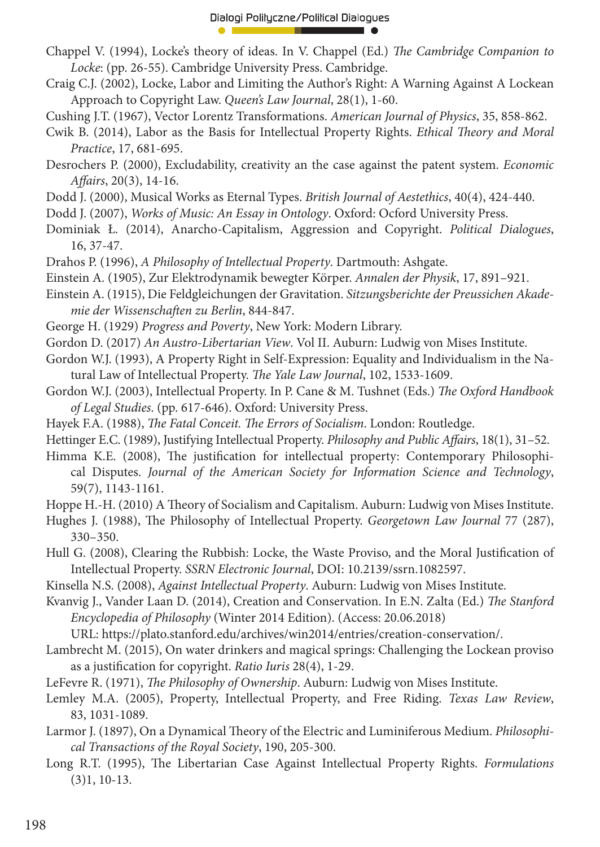- Chappel V. (1994), Locke's theory of ideas. In V. Chappel (Ed.) *The Cambridge Companion to Locke*: (pp. 26-55). Cambridge University Press. Cambridge.
- Craig C.J. (2002), Locke, Labor and Limiting the Author's Right: A Warning Against A Lockean Approach to Copyright Law. *Queen's Law Journal*, 28(1), 1-60.
- Cushing J.T. (1967), Vector Lorentz Transformations. *American Journal of Physics*, 35, 858-862.
- Cwik B. (2014), Labor as the Basis for Intellectual Property Rights. *Ethical Theory and Moral Practice*, 17, 681-695.
- Desrochers P. (2000), Excludability, creativity an the case against the patent system. *Economic Aff airs*, 20(3), 14-16.
- Dodd J. (2000), Musical Works as Eternal Types. *British Journal of Aestethics*, 40(4), 424-440.
- Dodd J. (2007), *Works of Music: An Essay in Ontology*. Oxford: Ocford University Press.
- Dominiak Ł. (2014), Anarcho-Capitalism, Aggression and Copyright. *Political Dialogues*, 16, 37-47.
- Drahos P. (1996), *A Philosophy of Intellectual Property*. Dartmouth: Ashgate.
- Einstein A. (1905), Zur Elektrodynamik bewegter Körper. *Annalen der Physik*, 17, 891–921.
- Einstein A. (1915), Die Feldgleichungen der Gravitation. *Sitzungsberichte der Preussichen Akademie der Wissenschaft en zu Berlin*, 844-847.
- George H. (1929) *Progress and Poverty*, New York: Modern Library.
- Gordon D. (2017) *An Austro-Libertarian View*. Vol II. Auburn: Ludwig von Mises Institute.
- Gordon W.J. (1993), A Property Right in Self-Expression: Equality and Individualism in the Natural Law of Intellectual Property. The Yale Law Journal, 102, 1533-1609.
- Gordon W.J. (2003), Intellectual Property. In P. Cane & M. Tushnet (Eds.) *The Oxford Handbook of Legal Studies*. (pp. 617-646). Oxford: University Press.
- Hayek F.A. (1988), *The Fatal Conceit. The Errors of Socialism*. London: Routledge.
- Hettinger E.C. (1989), Justifying Intellectual Property. *Philosophy and Public Affairs*, 18(1), 31–52.
- Himma K.E. (2008), The justification for intellectual property: Contemporary Philosophical Disputes. *Journal of the American Society for Information Science and Technology*, 59(7), 1143-1161.
- Hoppe H.-H. (2010) A Theory of Socialism and Capitalism. Auburn: Ludwig von Mises Institute.
- Hughes J. (1988), The Philosophy of Intellectual Property. *Georgetown Law Journal* 77 (287), 330–350.
- Hull G. (2008), Clearing the Rubbish: Locke, the Waste Proviso, and the Moral Justification of Intellectual Property. *SSRN Electronic Journal*, DOI: 10.2139/ssrn.1082597.
- Kinsella N.S. (2008), *Against Intellectual Property*. Auburn: Ludwig von Mises Institute.
- Kvanvig J., Vander Laan D. (2014), Creation and Conservation. In E.N. Zalta (Ed.) *The Stanford Encyclopedia of Philosophy* (Winter 2014 Edition). (Access: 20.06.2018) URL: https://plato.stanford.edu/archives/win2014/entries/creation-conservation/.
- Lambrecht M. (2015), On water drinkers and magical springs: Challenging the Lockean proviso as a justification for copyright. *Ratio Iuris* 28(4), 1-29.
- LeFevre R. (1971), *The Philosophy of Ownership*. Auburn: Ludwig von Mises Institute.
- Lemley M.A. (2005), Property, Intellectual Property, and Free Riding. *Texas Law Review*, 83, 1031-1089.
- Larmor J. (1897), On a Dynamical Theory of the Electric and Luminiferous Medium. *Philosophical Transactions of the Royal Society*, 190, 205-300.
- Long R.T. (1995), The Libertarian Case Against Intellectual Property Rights. *Formulations* (3)1, 10-13.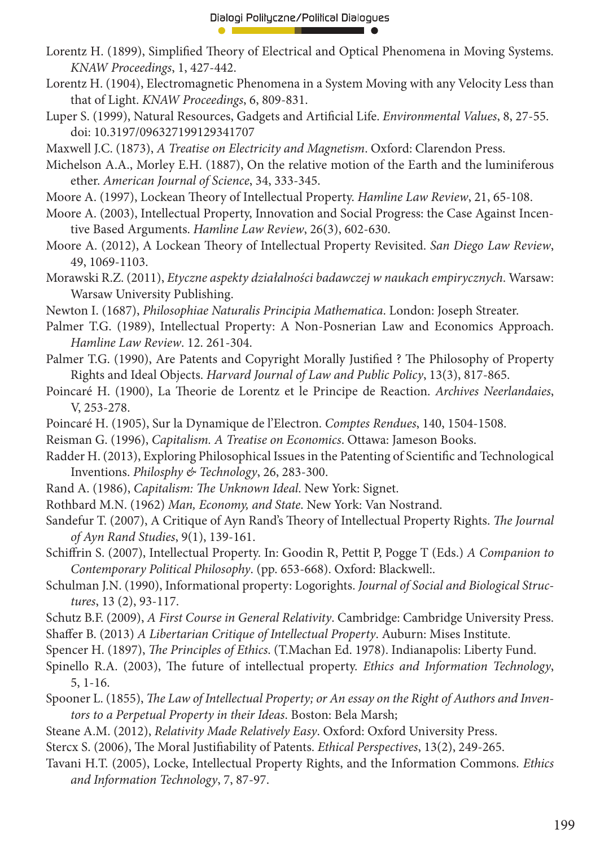- Lorentz H. (1899), Simplified Theory of Electrical and Optical Phenomena in Moving Systems. *KNAW Proceedings*, 1, 427-442.
- Lorentz H. (1904), Electromagnetic Phenomena in a System Moving with any Velocity Less than that of Light. *KNAW Proceedings*, 6, 809-831.
- Luper S. (1999), Natural Resources, Gadgets and Artificial Life. *Environmental Values*, 8, 27-55. doi: 10.3197/096327199129341707
- Maxwell J.C. (1873), *A Treatise on Electricity and Magnetism*. Oxford: Clarendon Press.
- Michelson A.A., Morley E.H. (1887), On the relative motion of the Earth and the luminiferous ether. *American Journal of Science*, 34, 333-345.
- Moore A. (1997), Lockean Theory of Intellectual Property. *Hamline Law Review*, 21, 65-108.
- Moore A. (2003), Intellectual Property, Innovation and Social Progress: the Case Against Incentive Based Arguments. *Hamline Law Review*, 26(3), 602-630.
- Moore A. (2012), A Lockean Theory of Intellectual Property Revisited. *San Diego Law Review*, 49, 1069-1103.
- Morawski R.Z. (2011), *Etyczne aspekty działalności badawczej w naukach empirycznych*. Warsaw: Warsaw University Publishing.
- Newton I. (1687), *Philosophiae Naturalis Principia Mathematica*. London: Joseph Streater.
- Palmer T.G. (1989), Intellectual Property: A Non-Posnerian Law and Economics Approach. *Hamline Law Review*. 12. 261-304.
- Palmer T.G. (1990), Are Patents and Copyright Morally Justified ? The Philosophy of Property Rights and Ideal Objects. *Harvard Journal of Law and Public Policy*, 13(3), 817-865.
- Poincaré H. (1900), La Theorie de Lorentz et le Principe de Reaction. Archives Neerlandaies, V, 253-278.
- Poincaré H. (1905), Sur la Dynamique de l'Electron. *Comptes Rendues*, 140, 1504-1508.
- Reisman G. (1996), *Capitalism. A Treatise on Economics*. Ottawa: Jameson Books.
- Radder H. (2013), Exploring Philosophical Issues in the Patenting of Scientific and Technological Inventions. *Philosphy & Technology*, 26, 283-300.
- Rand A. (1986), *Capitalism: The Unknown Ideal*. New York: Signet.
- Rothbard M.N. (1962) *Man, Economy, and State*. New York: Van Nostrand.
- Sandefur T. (2007), A Critique of Ayn Rand's Theory of Intellectual Property Rights. *The Journal of Ayn Rand Studies*, 9(1), 139-161.
- Schiff rin S. (2007), Intellectual Property. In: Goodin R, Pettit P, Pogge T (Eds.) *A Companion to Contemporary Political Philosophy*. (pp. 653-668). Oxford: Blackwell:.
- Schulman J.N. (1990), Informational property: Logorights. *Journal of Social and Biological Structures*, 13 (2), 93-117.
- Schutz B.F. (2009), *A First Course in General Relativity*. Cambridge: Cambridge University Press.
- Shaffer B. (2013) *A Libertarian Critique of Intellectual Property*. Auburn: Mises Institute.
- Spencer H. (1897), *The Principles of Ethics*. (T.Machan Ed. 1978). Indianapolis: Liberty Fund.
- Spinello R.A. (2003), The future of intellectual property. *Ethics and Information Technology*, 5, 1-16.
- Spooner L. (1855), *The Law of Intellectual Property; or An essay on the Right of Authors and Inventors to a Perpetual Property in their Ideas*. Boston: Bela Marsh;
- Steane A.M. (2012), *Relativity Made Relatively Easy*. Oxford: Oxford University Press.
- Stercx S. (2006), The Moral Justifiability of Patents. *Ethical Perspectives*, 13(2), 249-265.
- Tavani H.T. (2005), Locke, Intellectual Property Rights, and the Information Commons. *Ethics and Information Technology*, 7, 87-97.